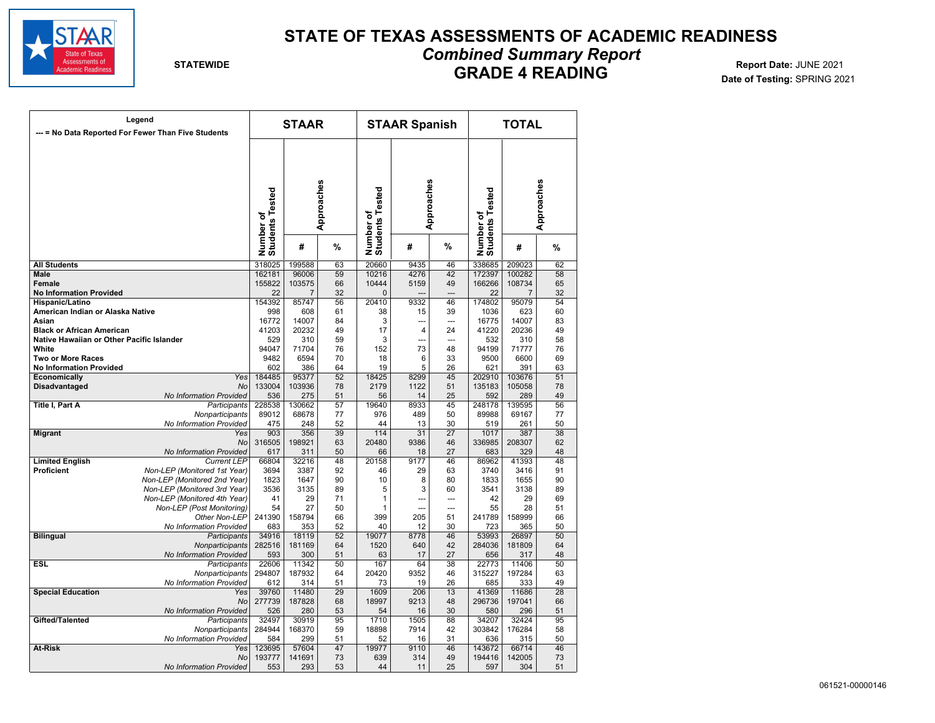

## **STATE OF TEXAS ASSESSMENTS OF ACADEMIC READINESS**

*Combined Summary Report* 

# **GRADE 4 READING Report Date: JUNE 2021**<br>102 Date of Testing: SPRING Date: JUNE 2021

**Date of Testing:** SPRING 2021

| Legend                                                                        |                                                           | <b>STAAR</b>                               |                 |                              | <b>STAAR Spanish</b> |              |                              | <b>TOTAL</b>     |                  |                 |
|-------------------------------------------------------------------------------|-----------------------------------------------------------|--------------------------------------------|-----------------|------------------------------|----------------------|--------------|------------------------------|------------------|------------------|-----------------|
|                                                                               | --- = No Data Reported For Fewer Than Five Students       |                                            |                 |                              |                      |              |                              |                  |                  |                 |
|                                                                               |                                                           |                                            |                 |                              |                      |              |                              |                  |                  |                 |
|                                                                               |                                                           |                                            |                 |                              |                      |              |                              |                  |                  |                 |
|                                                                               |                                                           |                                            |                 |                              |                      |              |                              |                  |                  |                 |
|                                                                               |                                                           |                                            |                 |                              |                      |              |                              |                  |                  |                 |
|                                                                               |                                                           |                                            |                 |                              |                      |              |                              |                  |                  |                 |
|                                                                               |                                                           |                                            |                 |                              |                      |              |                              |                  |                  | Approaches      |
|                                                                               |                                                           | Approaches<br>Number of<br>Students Tested |                 | Number of<br>Students Tested | Approaches           |              | Number of<br>Students Tested |                  |                  |                 |
|                                                                               |                                                           |                                            |                 |                              |                      |              |                              |                  |                  |                 |
|                                                                               |                                                           |                                            | #               | %                            |                      | #            | %                            |                  | #                | %               |
| <b>All Students</b>                                                           |                                                           | 318025                                     | 199588          | 63                           | 20660                | 9435         | 46                           | 338685           | 209023           | 62              |
| <b>Male</b><br>Female                                                         |                                                           | 162181<br>155822                           | 96006<br>103575 | 59<br>66                     | 10216<br>10444       | 4276<br>5159 | 42<br>49                     | 172397<br>166266 | 100282<br>108734 | 58<br>65        |
| <b>No Information Provided</b>                                                |                                                           | 22                                         | $\overline{7}$  | 32                           | $\mathbf{0}$         |              |                              | 22               | $\overline{7}$   | 32              |
| Hispanic/Latino                                                               |                                                           | 154392                                     | 85747           | 56                           | 20410                | 9332         | 46                           | 174802           | 95079            | 54              |
| American Indian or Alaska Native                                              |                                                           | 998                                        | 608             | 61                           | 38                   | 15           | 39                           | 1036             | 623              | 60              |
| Asian                                                                         |                                                           | 16772                                      | 14007           | 84                           | 3                    | ---          | $\overline{a}$               | 16775            | 14007            | 83              |
| <b>Black or African American</b><br>Native Hawaiian or Other Pacific Islander |                                                           | 41203<br>529                               | 20232<br>310    | 49<br>59                     | 17<br>3              | 4<br>---     | 24                           | 41220<br>532     | 20236<br>310     | 49<br>58        |
| White                                                                         |                                                           | 94047                                      | 71704           | 76                           | 152                  | 73           | ---<br>48                    | 94199            | 71777            | 76              |
| <b>Two or More Races</b>                                                      |                                                           | 9482                                       | 6594            | 70                           | 18                   | 6            | 33                           | 9500             | 6600             | 69              |
| <b>No Information Provided</b>                                                |                                                           | 602                                        | 386             | 64                           | 19                   | 5            | 26                           | 621              | 391              | 63              |
| Economically                                                                  | Yes                                                       | 184485                                     | 95377           | 52                           | 18425                | 8299         | 45                           | 202910           | 103676           | 51              |
| Disadvantaged                                                                 | No<br>No Information Provided                             | 133004                                     | 103936          | 78<br>51                     | 2179                 | 1122<br>14   | 51<br>25                     | 135183<br>592    | 105058           | 78<br>49        |
| Title I, Part A                                                               | Participants                                              | 536<br>228538                              | 275<br>130662   | 57                           | 56<br>19640          | 8933         | 45                           | 248178           | 289<br>139595    | 56              |
|                                                                               | Nonparticipants                                           | 89012                                      | 68678           | 77                           | 976                  | 489          | 50                           | 89988            | 69167            | 77              |
|                                                                               | No Information Provided                                   | 475                                        | 248             | 52                           | 44                   | 13           | 30                           | 519              | 261              | 50              |
| <b>Migrant</b>                                                                | Yes                                                       | 903                                        | 356             | 39                           | 114                  | 31           | $\overline{27}$              | 1017             | 387              | $\overline{38}$ |
|                                                                               | No<br>No Information Provided                             | 316505<br>617                              | 198921<br>311   | 63<br>50                     | 20480<br>66          | 9386<br>18   | 46<br>27                     | 336985<br>683    | 208307<br>329    | 62<br>48        |
| <b>Limited English</b>                                                        | <b>Current LEP</b>                                        | 66804                                      | 32216           | 48                           | 20158                | 9177         | 46                           | 86962            | 41393            | 48              |
| <b>Proficient</b>                                                             | Non-LEP (Monitored 1st Year)                              | 3694                                       | 3387            | 92                           | 46                   | 29           | 63                           | 3740             | 3416             | 91              |
|                                                                               | Non-LEP (Monitored 2nd Year)                              | 1823                                       | 1647            | 90                           | 10                   | 8            | 80                           | 1833             | 1655             | 90              |
|                                                                               | Non-LEP (Monitored 3rd Year)                              | 3536                                       | 3135            | 89                           | 5                    | 3            | 60                           | 3541             | 3138             | 89              |
|                                                                               | Non-LEP (Monitored 4th Year)<br>Non-LEP (Post Monitoring) | 41<br>54                                   | 29<br>27        | 71<br>50                     | 1<br>1               | ---<br>---   | ---<br>$\overline{a}$        | 42<br>55         | 29<br>28         | 69<br>51        |
|                                                                               | Other Non-LEP                                             | 241390                                     | 158794          | 66                           | 399                  | 205          | 51                           | 241789           | 158999           | 66              |
|                                                                               | No Information Provided                                   | 683                                        | 353             | 52                           | 40                   | 12           | 30                           | 723              | 365              | 50              |
| <b>Bilingual</b>                                                              | Participants                                              | 34916                                      | 18119           | 52                           | 19077                | 8778         | 46                           | 53993            | 26897            | 50              |
|                                                                               | Nonparticipants                                           | 282516                                     | 181169          | 64                           | 1520                 | 640          | 42                           | 284036           | 181809           | 64              |
| <b>ESL</b>                                                                    | No Information Provided<br>Participants                   | 593<br>22606                               | 300<br>11342    | 51<br>50                     | 63<br>167            | 17<br>64     | 27<br>38                     | 656<br>22773     | 317<br>11406     | 48<br>50        |
|                                                                               | Nonparticipants                                           | 294807                                     | 187932          | 64                           | 20420                | 9352         | 46                           | 315227           | 197284           | 63              |
|                                                                               | No Information Provided                                   | 612                                        | 314             | 51                           | 73                   | 19           | 26                           | 685              | 333              | 49              |
| <b>Special Education</b>                                                      | Yes                                                       | 39760                                      | 11480           | 29                           | 1609                 | 206          | 13                           | 41369            | 11686            | 28              |
|                                                                               | <b>No</b>                                                 | 277739                                     | 187828          | 68                           | 18997                | 9213         | 48                           | 296736           | 197041           | 66              |
| Gifted/Talented                                                               | No Information Provided<br>Participants                   | 526<br>32497                               | 280<br>30919    | 53<br>95                     | 54<br>1710           | 16<br>1505   | 30<br>88                     | 580<br>34207     | 296<br>32424     | 51<br>95        |
|                                                                               | Nonparticipants                                           | 284944                                     | 168370          | 59                           | 18898                | 7914         | 42                           | 303842           | 176284           | 58              |
|                                                                               | No Information Provided                                   | 584                                        | 299             | 51                           | 52                   | 16           | 31                           | 636              | 315              | 50              |
| <b>At-Risk</b>                                                                | Yes                                                       | 123695                                     | 57604           | 47                           | 19977                | 9110         | 46                           | 143672           | 66714            | 46              |
|                                                                               | <b>No</b>                                                 | 193777                                     | 141691          | 73                           | 639                  | 314          | 49                           | 194416           | 142005           | 73              |
|                                                                               | No Information Provided                                   | 553                                        | 293             | 53                           | 44                   | 11           | 25                           | 597              | 304              | 51              |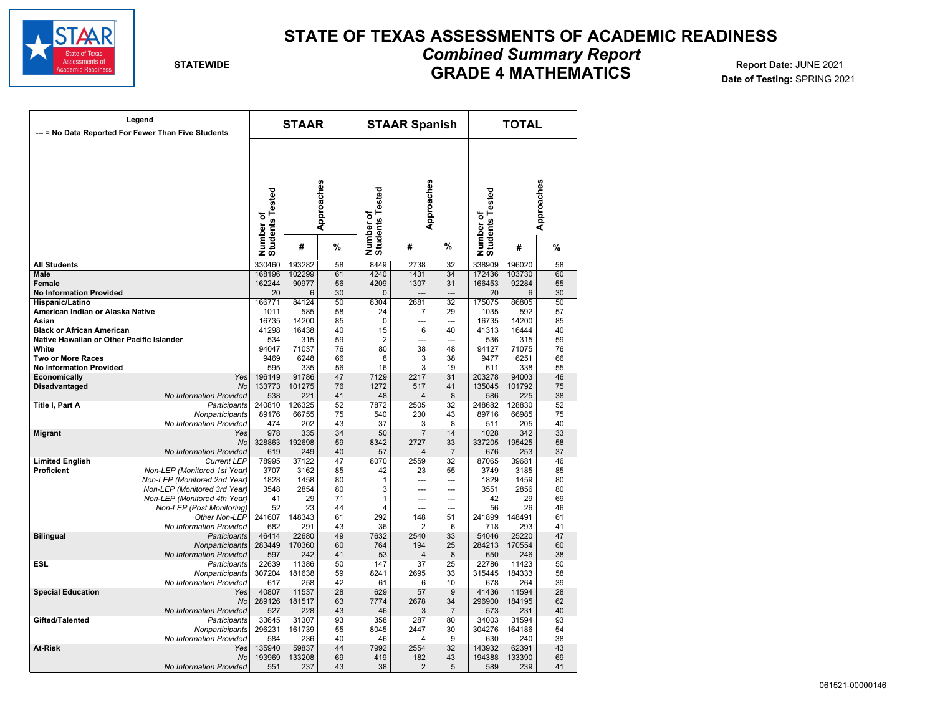

## **STATE OF TEXAS ASSESSMENTS OF ACADEMIC READINESS**

**Date of Testing:** SPRING 2021

## *Combined Summary Report*  **GRADE 4 MATHEMATICS Report Date: JUNE 2021**<br>102 Date of Testing: SPRING 20:

|                                                    | Legend<br>--- = No Data Reported For Fewer Than Five Students |                              | <b>STAAR</b>    |                 |                              | <b>STAAR Spanish</b>    |                 |                              | <b>TOTAL</b>    |                 |  |
|----------------------------------------------------|---------------------------------------------------------------|------------------------------|-----------------|-----------------|------------------------------|-------------------------|-----------------|------------------------------|-----------------|-----------------|--|
|                                                    |                                                               | Number of<br>Students Tested | Approaches      |                 | Number of<br>Students Tested | Approaches              |                 | Number of<br>Students Tested | Approaches      |                 |  |
|                                                    |                                                               |                              | #               | %               |                              | #                       | %               |                              | #               | %               |  |
| <b>All Students</b>                                |                                                               | 330460                       | 193282          | 58              | 8449                         | 2738                    | 32              | 338909                       | 196020          | 58              |  |
| <b>Male</b>                                        |                                                               | 168196                       | 102299          | 61              | 4240                         | 1431                    | 34              | 172436                       | 103730          | 60              |  |
| Female                                             |                                                               | 162244                       | 90977           | 56              | 4209                         | 1307                    | 31              | 166453                       | 92284           | 55              |  |
| <b>No Information Provided</b>                     |                                                               | 20                           | 6               | 30              | $\mathbf 0$                  |                         |                 | 20                           | 6               | 30              |  |
| Hispanic/Latino                                    |                                                               | 166771                       | 84124           | 50              | 8304                         | 2681                    | 32              | 175075                       | 86805           | 50              |  |
| American Indian or Alaska Native                   |                                                               | 1011                         | 585             | 58              | 24                           | 7                       | 29              | 1035                         | 592             | 57              |  |
| Asian                                              |                                                               | 16735                        | 14200           | 85              | $\Omega$                     | ---                     | ---             | 16735                        | 14200           | 85              |  |
| <b>Black or African American</b>                   |                                                               | 41298                        | 16438           | 40              | 15                           | 6                       | 40              | 41313                        | 16444           | 40              |  |
| Native Hawaiian or Other Pacific Islander<br>White |                                                               | 534<br>94047                 | 315             | 59<br>76        | $\overline{2}$               | ---<br>38               | ---<br>48       | 536<br>94127                 | 315             | 59              |  |
| <b>Two or More Races</b>                           |                                                               | 9469                         | 71037<br>6248   | 66              | 80<br>8                      | 3                       | 38              | 9477                         | 71075<br>6251   | 76<br>66        |  |
| <b>No Information Provided</b>                     |                                                               | 595                          | 335             | 56              | 16                           | 3                       | 19              | 611                          | 338             | 55              |  |
| Economically                                       | Yes                                                           | 196149                       | 91786           | 47              | 7129                         | 2217                    | 31              | 203278                       | 94003           | 46              |  |
| <b>Disadvantaged</b>                               | No                                                            | 133773                       | 101275          | 76              | 1272                         | 517                     | 41              | 135045                       | 101792          | 75              |  |
|                                                    | No Information Provided                                       | 538                          | 221             | 41              | 48                           | 4                       | 8               | 586                          | 225             | 38              |  |
| Title I, Part A                                    | Participants                                                  | 240810                       | 126325          | 52              | 7872                         | 2505                    | 32              | 248682                       | 128830          | 52              |  |
|                                                    | Nonparticipants                                               | 89176                        | 66755           | 75              | 540                          | 230                     | 43              | 89716                        | 66985           | 75              |  |
|                                                    | No Information Provided                                       | 474                          | 202             | 43              | 37                           | 3                       | 8               | 511                          | 205             | 40              |  |
| Migrant                                            | Yes                                                           | 978                          | 335             | 34              | 50                           | 7                       | 14              | 1028                         | 342             | 33              |  |
|                                                    | <b>No</b>                                                     | 328863                       | 192698          | 59              | 8342                         | 2727                    | 33              | 337205                       | 195425          | 58              |  |
|                                                    | No Information Provided                                       | 619                          | 249             | 40              | 57                           | $\overline{\mathbf{4}}$ | $\overline{7}$  | 676                          | 253             | 37              |  |
| <b>Limited English</b>                             | <b>Current LEP</b>                                            | 78995                        | 37122           | 47              | 8070                         | 2559                    | 32              | 87065                        | 39681           | 46              |  |
| Proficient                                         | Non-LEP (Monitored 1st Year)                                  | 3707                         | 3162            | 85              | 42                           | 23                      | 55              | 3749                         | 3185            | 85              |  |
|                                                    | Non-LEP (Monitored 2nd Year)                                  | 1828                         | 1458            | 80              | 1                            | $\overline{a}$          |                 | 1829                         | 1459            | 80              |  |
|                                                    | Non-LEP (Monitored 3rd Year)                                  | 3548                         | 2854            | 80              | 3                            | ---                     | ---             | 3551                         | 2856            | 80              |  |
|                                                    | Non-LEP (Monitored 4th Year)                                  | 41                           | 29              | 71              | $\mathbf{1}$                 | ---                     | ---             | 42                           | 29              | 69              |  |
|                                                    | Non-LEP (Post Monitoring)                                     | 52                           | 23              | 44              | 4                            |                         | ---             | 56                           | 26              | 46              |  |
|                                                    | Other Non-LEP<br>No Information Provided                      | 241607                       | 148343          | 61              | 292                          | 148                     | 51              | 241899                       | 148491          | 61              |  |
|                                                    |                                                               | 682                          | 291             | 43<br>49        | 36                           | $\overline{2}$<br>2540  | 6               | 718<br>54046                 | 293             | 41<br>47        |  |
| <b>Bilingual</b>                                   | Participants<br>Nonparticipants                               | 46414<br>283449              | 22680<br>170360 | 60              | 7632<br>764                  | 194                     | 33<br>25        | 284213                       | 25220<br>170554 | 60              |  |
|                                                    | No Information Provided                                       | 597                          | 242             | 41              | 53                           | 4                       | 8               | 650                          | 246             | 38              |  |
| ESL                                                | Participants                                                  | 22639                        | 11386           | 50              | 147                          | $\overline{37}$         | 25              | 22786                        | 11423           | 50              |  |
|                                                    | Nonparticipants                                               | 307204                       | 181638          | 59              | 8241                         | 2695                    | 33              | 315445                       | 184333          | 58              |  |
|                                                    | No Information Provided                                       | 617                          | 258             | 42              | 61                           | 6                       | 10              | 678                          | 264             | 39              |  |
| <b>Special Education</b>                           | Yes                                                           | 40807                        | 11537           | $\overline{28}$ | 629                          | $\overline{57}$         | $\overline{9}$  | 41436                        | 11594           | $\overline{28}$ |  |
|                                                    | <b>No</b>                                                     | 289126                       | 181517          | 63              | 7774                         | 2678                    | 34              | 296900                       | 184195          | 62              |  |
|                                                    | No Information Provided                                       | 527                          | 228             | 43              | 46                           | 3                       | $\overline{7}$  | 573                          | 231             | 40              |  |
| Gifted/Talented                                    | Participants                                                  | 33645                        | 31307           | 93              | 358                          | 287                     | 80              | 34003                        | 31594           | 93              |  |
|                                                    | Nonparticipants                                               | 296231                       | 161739          | 55              | 8045                         | 2447                    | 30              | 304276                       | 164186          | 54              |  |
|                                                    | No Information Provided                                       | 584                          | 236             | 40              | 46                           | 4                       | 9               | 630                          | 240             | 38              |  |
| At-Risk                                            | Yes                                                           | 135940                       | 59837           | 44              | 7992                         | 2554                    | $\overline{32}$ | 143932                       | 62391           | 43              |  |
|                                                    | <b>No</b>                                                     | 193969                       | 133208          | 69              | 419                          | 182                     | 43              | 194388                       | 133390          | 69              |  |
|                                                    | <b>No Information Provided</b>                                | 551                          | 237             | 43              | 38                           | $\overline{2}$          | 5               | 589                          | 239             | 41              |  |
|                                                    |                                                               |                              |                 |                 |                              |                         |                 |                              |                 |                 |  |